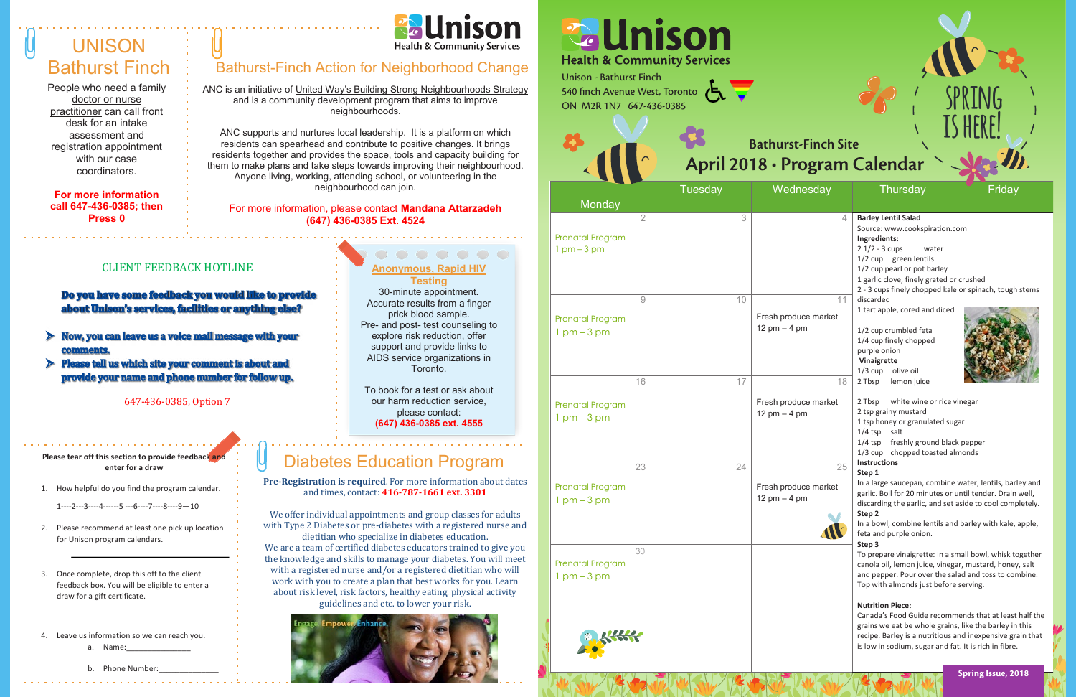## **UNISON** Bathurst Finch

People who need a family doctor or nurse practitioner can call front desk for an intake assessment and registration appointment with our case coordinators.

**For more information call 647-436-0385; then Press 0** 



### Bathurst-Finch Action for Neighborhood Change

**Pre-Registration is required**. For more information about dates and times, contact: **416-787-1661 ext. 3301**

We offer individual appointments and group classes for adults with Type 2 Diabetes or pre-diabetes with a registered nurse and

dietitian who specialize in diabetes education. We are a team of certified diabetes educators trained to give you the knowledge and skills to manage your diabetes. You will meet with a registered nurse and/or a registered dietitian who will work with you to create a plan that best works for you. Learn about risk level, risk factors, healthy eating, physical activity guidelines and etc. to lower your risk.



#### **Anonymous, Rapid HIV Testing**

Please tear off this section to provide feedback and **enter for a draw**

- 1. How helpful do you find the program calendar.
	- 1----2---3----4------5 ---6----7----8----9—10
- 2. Please recommend at least one pick up location for Unison program calendars.
- 3. Once complete, drop this off to the client feedback box. You will be eligible to enter a draw for a gift certificate.
- 4. Leave us information so we can reach you.
	- a. Name:

b. Phone Number

|  | ------- |  | anial LIN |  |
|--|---------|--|-----------|--|

30-minute appointment. Accurate results from a finger prick blood sample. Pre- and post- test counseling to explore risk reduction, offer support and provide links to AIDS service organizations in Toronto.

To book for a test or ask about our harm reduction service, please contact: **(647) 436-0385 ext. 4555**

### CLIENT FEEDBACK HOTLINE

Do you have some feedback you would like to provide about Unison's services, facilities or anything else?

- $\triangleright$  Now, you can leave us a voice mail message with your comments.
- $\triangleright$  Please tell us which site your comment is about and provide your name and phone number for follow up.

647-436-0385, Option 7

## Diabetes Education Program

ANC is an initiative of United Way's Building Strong Neighbourhoods Strategy and is a community development program that aims to improve neighbourhoods.

ANC supports and nurtures local leadership. It is a platform on which residents can spearhead and contribute to positive changes. It brings residents together and provides the space, tools and capacity building for them to make plans and take steps towards improving their neighbourhood. Anyone living, working, attending school, or volunteering in the neighbourhood can join.

#### For more information, please contact **Mandana Attarzadeh (647) 436-0385 Ext. 4524**

| <b>Unison - Bathurst Finch</b><br>540 finch Avenue West, Toronto<br>ON M2R 1N7 647-436-0385 | <b><i><u><b></b></u></i></b> Unison<br><b>Health &amp; Community Services</b> | <b>Bathurst-Finch Site</b><br>April 2018 · Program Calendar |                                                                                                                                                                     |
|---------------------------------------------------------------------------------------------|-------------------------------------------------------------------------------|-------------------------------------------------------------|---------------------------------------------------------------------------------------------------------------------------------------------------------------------|
|                                                                                             | <b>Tuesday</b>                                                                | Wednesday                                                   | <b>Thursday</b>                                                                                                                                                     |
| Monday<br><b>Prenatal Program</b><br>$1$ pm $-3$ pm                                         | $\overline{2}$<br>3                                                           | 4                                                           | <b>Barley Lentil Salad</b><br>Source: www.cooks<br>Ingredients:<br>$21/2 - 3$ cups<br>1/2 cup green len<br>1/2 cup pearl or pot<br>1 garlic clove, finely           |
| <b>Prenatal Program</b><br>$1 \text{ pm} - 3 \text{ pm}$                                    | 10<br>9                                                                       | 11<br>Fresh produce market<br>12 pm $-$ 4 pm                | 2 - 3 cups finely cho<br>discarded<br>1 tart apple, cored a<br>1/2 cup crumbled fe<br>1/4 cup finely chopp<br>purple onion<br>Vinaigrette<br>$1/3$ cup<br>olive oil |
| <b>Prenatal Program</b><br>$1$ pm $-3$ pm                                                   | 17<br>16                                                                      | 18<br>Fresh produce market<br>12 pm $-$ 4 pm                | 2 Tbsp<br>lemon juio<br>2 Tbsp<br>white win<br>2 tsp grainy mustard<br>1 tsp honey or grant<br>$1/4$ tsp<br>salt<br>freshly gro<br>$1/4$ tsp<br>1/3 cup chopped t   |
| <b>Prenatal Program</b><br>$1 \text{ pm} - 3 \text{ pm}$                                    | 23<br>24                                                                      | 25<br>Fresh produce market<br>12 pm $-$ 4 pm                | <b>Instructions</b><br>Step 1<br>In a large saucepan,<br>garlic. Boil for 20 mi<br>discarding the garlid<br>Step 2<br>In a bowl, combine<br>feta and purple onid    |
| <b>Prenatal Program</b><br>$1$ pm $-3$ pm                                                   | 30                                                                            |                                                             | Step 3<br>To prepare vinaigre<br>canola oil, lemon ju<br>and pepper. Pour ov<br>Top with almonds ju<br><b>Nutrition Piece:</b><br>Canada's Food Guid                |
|                                                                                             |                                                                               |                                                             | grains we eat be wh<br>recipe. Barley is a no<br>is low in sodium, sug                                                                                              |

# **Finch Site**

| Tuesday | Wednesday            | <b>Thursday</b>                                                    | Friday |
|---------|----------------------|--------------------------------------------------------------------|--------|
| 3       | 4                    | <b>Barley Lentil Salad</b>                                         |        |
|         |                      | Source: www.cookspiration.com                                      |        |
|         |                      | Ingredients:                                                       |        |
|         |                      | $21/2 - 3$ cups<br>water                                           |        |
|         |                      | 1/2 cup green lentils                                              |        |
|         |                      | 1/2 cup pearl or pot barley                                        |        |
|         |                      | 1 garlic clove, finely grated or crushed                           |        |
|         |                      | 2 - 3 cups finely chopped kale or spinach, tough stems             |        |
| 10      | 11                   | discarded                                                          |        |
|         | Fresh produce market | 1 tart apple, cored and diced                                      |        |
|         | 12 pm $-$ 4 pm       |                                                                    |        |
|         |                      | 1/2 cup crumbled feta                                              |        |
|         |                      | 1/4 cup finely chopped<br>purple onion                             |        |
|         |                      | Vinaigrette                                                        |        |
|         |                      | $1/3$ cup<br>olive oil                                             |        |
| 17      | 18                   | 2 Tbsp<br>lemon juice                                              |        |
|         | Fresh produce market | 2 Tbsp<br>white wine or rice vinegar                               |        |
|         | 12 pm $-$ 4 pm       | 2 tsp grainy mustard                                               |        |
|         |                      | 1 tsp honey or granulated sugar                                    |        |
|         |                      | $1/4$ tsp<br>salt                                                  |        |
|         |                      | 1/4 tsp freshly ground black pepper                                |        |
|         |                      | 1/3 cup chopped toasted almonds                                    |        |
| 24      | 25                   | <b>Instructions</b>                                                |        |
|         |                      | Step 1                                                             |        |
|         | Fresh produce market | In a large saucepan, combine water, lentils, barley and            |        |
|         | 12 pm $-$ 4 pm       | garlic. Boil for 20 minutes or until tender. Drain well,           |        |
|         |                      | discarding the garlic, and set aside to cool completely.<br>Step 2 |        |
|         |                      | In a bowl, combine lentils and barley with kale, apple,            |        |
|         |                      | feta and purple onion.                                             |        |
|         |                      | Step 3                                                             |        |
|         |                      | To prepare vinaigrette: In a small bowl, whisk together            |        |
|         |                      | canola oil, lemon juice, vinegar, mustard, honey, salt             |        |
|         |                      | and pepper. Pour over the salad and toss to combine.               |        |
|         |                      | Top with almonds just before serving.                              |        |
|         |                      | <b>Nutrition Piece:</b>                                            |        |
|         |                      | Canada's Food Guide recommends that at least half the              |        |
|         |                      | grains we eat be whole grains, like the barley in this             |        |
|         |                      | recipe. Barley is a nutritious and inexpensive grain that          |        |
|         |                      | is low in sodium, sugar and fat. It is rich in fibre.              |        |
|         |                      |                                                                    |        |

**spring**

**is here!**